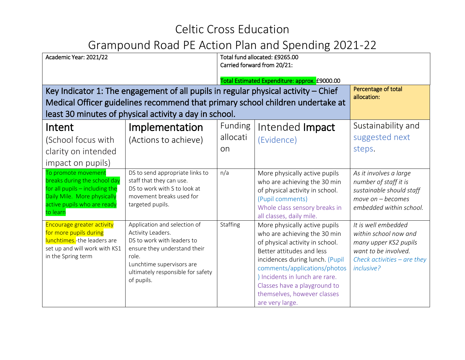| Academic Year: 2021/22                                                                                                                                                                                                                                                            |                                                                                                                                                                                                          | Total fund allocated: £9265.00<br>Carried forward from 20/21: |                                                                                                                                                                                                                                                                                                                      |                                                                                                                                            |
|-----------------------------------------------------------------------------------------------------------------------------------------------------------------------------------------------------------------------------------------------------------------------------------|----------------------------------------------------------------------------------------------------------------------------------------------------------------------------------------------------------|---------------------------------------------------------------|----------------------------------------------------------------------------------------------------------------------------------------------------------------------------------------------------------------------------------------------------------------------------------------------------------------------|--------------------------------------------------------------------------------------------------------------------------------------------|
| Total Estimated Expenditure: approx. £9000.00<br>Key Indicator 1: The engagement of all pupils in regular physical activity $-$ Chief<br>Medical Officer guidelines recommend that primary school children undertake at<br>least 30 minutes of physical activity a day in school. |                                                                                                                                                                                                          |                                                               | Percentage of total<br>allocation:                                                                                                                                                                                                                                                                                   |                                                                                                                                            |
| Intent<br>(School focus with<br>clarity on intended<br>impact on pupils)                                                                                                                                                                                                          | Implementation<br>(Actions to achieve)                                                                                                                                                                   | <b>Funding</b><br>allocati<br>on                              | Intended <b>Impact</b><br>(Evidence)                                                                                                                                                                                                                                                                                 | Sustainability and<br>suggested next<br>steps.                                                                                             |
| To promote movement<br>breaks during the school day<br>for all pupils - including the<br>Daily Mile. More physically<br>active pupils who are ready<br>to learn                                                                                                                   | DS to send appropriate links to<br>staff that they can use.<br>DS to work with S to look at<br>movement breaks used for<br>targeted pupils.                                                              | n/a                                                           | More physically active pupils<br>who are achieving the 30 min<br>of physical activity in school.<br>(Pupil comments)<br>Whole class sensory breaks in<br>all classes, daily mile.                                                                                                                                    | As it involves a large<br>number of staff it is<br>sustainable should staff<br>$move on - becomes$<br>embedded within school.              |
| <b>Encourage greater activity</b><br>for more pupils during<br>lunchtimes.-the leaders are<br>set up and will work with KS1<br>in the Spring term                                                                                                                                 | Application and selection of<br>Activity Leaders.<br>DS to work with leaders to<br>ensure they understand their<br>role.<br>Lunchtime supervisors are<br>ultimately responsible for safety<br>of pupils. | Staffing                                                      | More physically active pupils<br>who are achieving the 30 min<br>of physical activity in school.<br>Better attitudes and less<br>incidences during lunch. (Pupil<br>comments/applications/photos<br>) Incidents in lunch are rare.<br>Classes have a playground to<br>themselves, however classes<br>are very large. | It is well embedded<br>within school now and<br>many upper KS2 pupils<br>want to be involved.<br>Check activities – are they<br>inclusive? |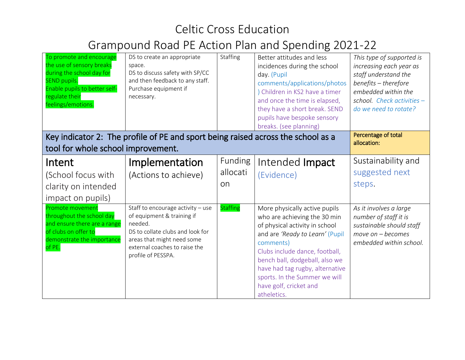| To promote and encourage<br>the use of sensory breaks<br>during the school day for<br><b>SEND pupils.</b><br>Enable pupils to better self-<br>regulate their<br>feelings/emotions. | DS to create an appropriate<br>space.<br>DS to discuss safety with SP/CC<br>and then feedback to any staff.<br>Purchase equipment if<br>necessary.                                                  | Staffing                  | Better attitudes and less<br>incidences during the school<br>day. (Pupil<br>comments/applications/photos<br>Children in KS2 have a timer<br>and once the time is elapsed,<br>they have a short break. SEND<br>pupils have bespoke sensory<br>breaks. (see planning)                                                              | This type of supported is<br>increasing each year as<br>staff understand the<br>benefits - therefore<br>embedded within the<br>school. Check activities -<br>do we need to rotate? |
|------------------------------------------------------------------------------------------------------------------------------------------------------------------------------------|-----------------------------------------------------------------------------------------------------------------------------------------------------------------------------------------------------|---------------------------|----------------------------------------------------------------------------------------------------------------------------------------------------------------------------------------------------------------------------------------------------------------------------------------------------------------------------------|------------------------------------------------------------------------------------------------------------------------------------------------------------------------------------|
| tool for whole school improvement.                                                                                                                                                 | Key indicator 2: The profile of PE and sport being raised across the school as a                                                                                                                    |                           |                                                                                                                                                                                                                                                                                                                                  | Percentage of total<br>allocation:                                                                                                                                                 |
| Intent<br>(School focus with<br>clarity on intended<br>impact on pupils)                                                                                                           | Implementation<br>(Actions to achieve)                                                                                                                                                              | Funding<br>allocati<br>on | Intended <b>Impact</b><br>(Evidence)                                                                                                                                                                                                                                                                                             | Sustainability and<br>suggested next<br>steps.                                                                                                                                     |
| Promote movement<br>throughout the school day<br>and ensure there are a range<br>of clubs on offer to<br>demonstrate the importance<br>of PE.                                      | Staff to encourage activity - use<br>of equipment & training if<br>needed.<br>DS to collate clubs and look for<br>areas that might need some<br>external coaches to raise the<br>profile of PESSPA. | <b>Staffing</b>           | More physically active pupils<br>who are achieving the 30 min<br>of physical activity in school<br>and are 'Ready to Learn' (Pupil<br>comments)<br>Clubs include dance, football,<br>bench ball, dodgeball, also we<br>have had tag rugby, alternative<br>sports. In the Summer we will<br>have golf, cricket and<br>atheletics. | As it involves a large<br>number of staff it is<br>sustainable should staff<br>move on $-$ becomes<br>embedded within school.                                                      |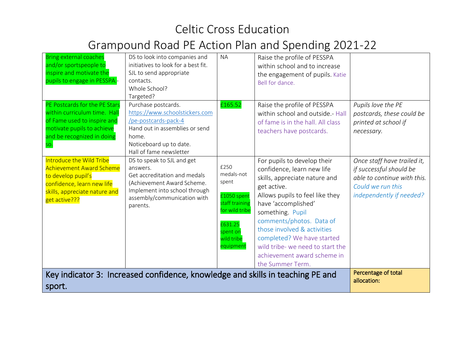| <b>Bring external coaches</b><br>and/or sportspeople to<br>inspire and motivate the<br>pupils to engage in PESSPA.-                                               | DS to look into companies and<br>initiatives to look for a best fit.<br>SJL to send appropriate<br>contacts.<br>Whole School?<br>Targeted?                                       | <b>NA</b>                                                                                                                        | Raise the profile of PESSPA<br>within school and to increase<br>the engagement of pupils. Katie<br>Bell for dance.                                                                                                                                                                                                                                                      |                                                                                                                                        |
|-------------------------------------------------------------------------------------------------------------------------------------------------------------------|----------------------------------------------------------------------------------------------------------------------------------------------------------------------------------|----------------------------------------------------------------------------------------------------------------------------------|-------------------------------------------------------------------------------------------------------------------------------------------------------------------------------------------------------------------------------------------------------------------------------------------------------------------------------------------------------------------------|----------------------------------------------------------------------------------------------------------------------------------------|
| PE Postcards for the PE Stars<br>within curriculum time. Hall<br>of Fame used to inspire and<br>motivate pupils to achieve<br>and be recognized in doing<br>SO.   | Purchase postcards.<br>https://www.schoolstickers.com<br>/pe-postcards-pack-4<br>Hand out in assemblies or send<br>home.<br>Noticeboard up to date.<br>Hall of fame newsletter   | £165.52                                                                                                                          | Raise the profile of PESSPA<br>within school and outside.- Hall<br>of fame is in the hall. All class<br>teachers have postcards.                                                                                                                                                                                                                                        | Pupils love the PE<br>postcards, these could be<br>printed at school if<br>necessary.                                                  |
| Introduce the Wild Tribe<br><b>Achievement Award Scheme</b><br>to develop pupil's<br>confidence, learn new life<br>skills, appreciate nature and<br>get active??? | DS to speak to SJL and get<br>answers.<br>Get accreditation and medals<br>(Achievement Award Scheme.<br>Implement into school through<br>assembly/communication with<br>parents. | £250<br>medals-not<br>spent<br>£1050 spent<br>staff training<br>for wild tribe<br>£631.25<br>spent on<br>wild tribe<br>equipment | For pupils to develop their<br>confidence, learn new life<br>skills, appreciate nature and<br>get active.<br>Allows pupils to feel like they<br>have 'accomplished'<br>something. Pupil<br>comments/photos. Data of<br>those involved & activities<br>completed? We have started<br>wild tribe- we need to start the<br>achievement award scheme in<br>the Summer Term. | Once staff have trailed it,<br>if successful should be<br>able to continue with this.<br>Could we run this<br>independently if needed? |
| Key indicator 3: Increased confidence, knowledge and skills in teaching PE and<br>sport.                                                                          |                                                                                                                                                                                  |                                                                                                                                  | Percentage of total<br>allocation:                                                                                                                                                                                                                                                                                                                                      |                                                                                                                                        |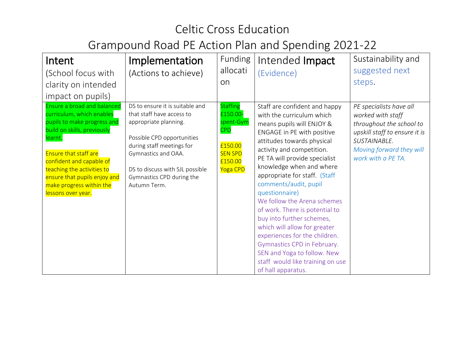| Intent<br>(School focus with<br>clarity on intended<br>impact on pupils)                                                                                                                                                                                                                                             | Implementation<br>(Actions to achieve)                                                                                                                                                                                                                  | Funding<br>allocati<br>on                                                                                  | Intended Impact<br>(Evidence)                                                                                                                                                                                                                                                                                                                                                                                                                                                                                                                                                                                    | Sustainability and<br>suggested next<br>steps.                                                                                                                              |
|----------------------------------------------------------------------------------------------------------------------------------------------------------------------------------------------------------------------------------------------------------------------------------------------------------------------|---------------------------------------------------------------------------------------------------------------------------------------------------------------------------------------------------------------------------------------------------------|------------------------------------------------------------------------------------------------------------|------------------------------------------------------------------------------------------------------------------------------------------------------------------------------------------------------------------------------------------------------------------------------------------------------------------------------------------------------------------------------------------------------------------------------------------------------------------------------------------------------------------------------------------------------------------------------------------------------------------|-----------------------------------------------------------------------------------------------------------------------------------------------------------------------------|
| <b>Ensure a broad and balanced</b><br>curriculum, which enables<br>pupils to make progress and<br>build on skills, previously<br>learnt.<br><b>Ensure that staff are</b><br>confident and capable of<br>teaching the activities to<br>ensure that pupils enjoy and<br>make progress within the<br>lessons over year. | DS to ensure it is suitable and<br>that staff have access to<br>appropriate planning.<br>Possible CPD opportunities<br>during staff meetings for<br>Gymnastics and OAA.<br>DS to discuss with SJL possible<br>Gymnastics CPD during the<br>Autumn Term. | <b>Staffing</b><br>£150.00-<br>spent-Gym<br><b>CPD</b><br>£150.00<br><b>SEN SPD</b><br>£150.00<br>Yoga CPD | Staff are confident and happy<br>with the curriculum which<br>means pupils will ENJOY &<br>ENGAGE in PE with positive<br>attitudes towards physical<br>activity and competition.<br>PE TA will provide specialist<br>knowledge when and where<br>appropriate for staff. (Staff<br>comments/audit, pupil<br>questionnaire)<br>We follow the Arena schemes<br>of work. There is potential to<br>buy into further schemes,<br>which will allow for greater<br>experiences for the children.<br>Gymnastics CPD in February.<br>SEN and Yoga to follow. New<br>staff would like training on use<br>of hall apparatus. | PE specialists have all<br>worked with staff<br>throughout the school to<br>upskill staff to ensure it is<br>SUSTAINABLE.<br>Moving forward they will<br>work with a PE TA. |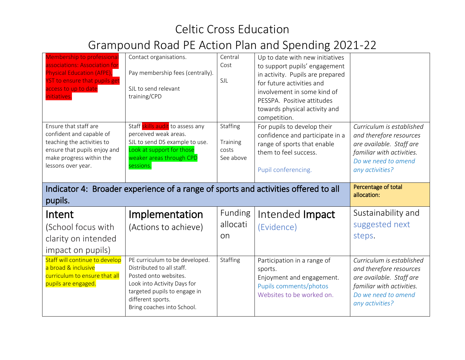# Celtic Cross Education Grampound Road PE Action Plan and Spending 2021-22

| <b>Membership to professional</b><br>associations: Association for<br><b>Physical Education (AfPE),</b><br>YST to ensure that pupils get<br>access to up to date<br>initiatives. | Contact organisations.<br>Pay membership fees (centrally).<br>SJL to send relevant<br>training/CPD                                                                | Central<br>Cost<br>SJL                     | Up to date with new initiatives<br>to support pupils' engagement<br>in activity. Pupils are prepared<br>for future activities and<br>involvement in some kind of<br>PESSPA. Positive attitudes<br>towards physical activity and<br>competition. |                                                                                                                                                         |
|----------------------------------------------------------------------------------------------------------------------------------------------------------------------------------|-------------------------------------------------------------------------------------------------------------------------------------------------------------------|--------------------------------------------|-------------------------------------------------------------------------------------------------------------------------------------------------------------------------------------------------------------------------------------------------|---------------------------------------------------------------------------------------------------------------------------------------------------------|
| Ensure that staff are<br>confident and capable of<br>teaching the activities to<br>ensure that pupils enjoy and<br>make progress within the<br>lessons over year.                | Staff skills audit to assess any<br>perceived weak areas.<br>SJL to send DS example to use.<br>Look at support for those<br>weaker areas through CPD<br>sessions. | Staffing<br>Training<br>costs<br>See above | For pupils to develop their<br>confidence and participate in a<br>range of sports that enable<br>them to feel success.<br>Pupil conferencing.                                                                                                   | Curriculum is established<br>and therefore resources<br>are available. Staff are<br>familiar with activities.<br>Do we need to amend<br>any activities? |
|                                                                                                                                                                                  |                                                                                                                                                                   |                                            |                                                                                                                                                                                                                                                 |                                                                                                                                                         |
| pupils.                                                                                                                                                                          | Indicator 4: Broader experience of a range of sports and activities offered to all                                                                                |                                            |                                                                                                                                                                                                                                                 | Percentage of total<br>allocation:                                                                                                                      |
| Intent<br>(School focus with<br>clarity on intended<br>impact on pupils)                                                                                                         | Implementation<br>(Actions to achieve)                                                                                                                            | Funding<br>allocati<br>on                  | Intended <b>Impact</b><br>(Evidence)                                                                                                                                                                                                            | Sustainability and<br>suggested next<br>steps.                                                                                                          |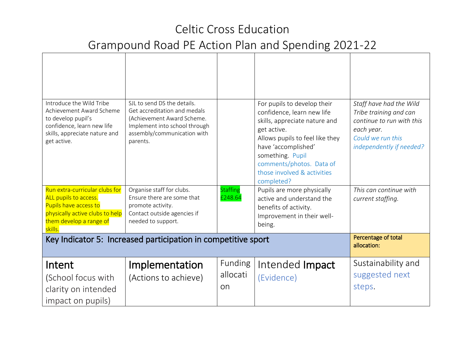| Introduce the Wild Tribe<br>Achievement Award Scheme                                                                                                      | SJL to send DS the details.<br>Get accreditation and medals                                                                       |                                  | For pupils to develop their<br>confidence, learn new life                                                                                                                                           | Staff have had the Wild<br>Tribe training and can                                        |
|-----------------------------------------------------------------------------------------------------------------------------------------------------------|-----------------------------------------------------------------------------------------------------------------------------------|----------------------------------|-----------------------------------------------------------------------------------------------------------------------------------------------------------------------------------------------------|------------------------------------------------------------------------------------------|
| to develop pupil's<br>confidence, learn new life<br>skills, appreciate nature and<br>get active.                                                          | (Achievement Award Scheme.<br>Implement into school through<br>assembly/communication with<br>parents.                            |                                  | skills, appreciate nature and<br>get active.<br>Allows pupils to feel like they<br>have 'accomplished'<br>something. Pupil<br>comments/photos. Data of<br>those involved & activities<br>completed? | continue to run with this<br>each year.<br>Could we run this<br>independently if needed? |
| Run extra-curricular clubs for<br>ALL pupils to access.<br>Pupils have access to<br>physically active clubs to help<br>them develop a range of<br>skills. | Organise staff for clubs.<br>Ensure there are some that<br>promote activity.<br>Contact outside agencies if<br>needed to support. | <b>Staffing</b><br>£248.64       | Pupils are more physically<br>active and understand the<br>benefits of activity.<br>Improvement in their well-<br>being.                                                                            | This can continue with<br>current staffing.                                              |
| Key Indicator 5: Increased participation in competitive sport                                                                                             |                                                                                                                                   |                                  |                                                                                                                                                                                                     | Percentage of total<br>allocation:                                                       |
| Intent<br>(School focus with<br>clarity on intended<br>impact on pupils)                                                                                  | Implementation<br>(Actions to achieve)                                                                                            | Funding<br>allocati<br><b>on</b> | Intended Impact<br>(Evidence)                                                                                                                                                                       | Sustainability and<br>suggested next<br>steps.                                           |